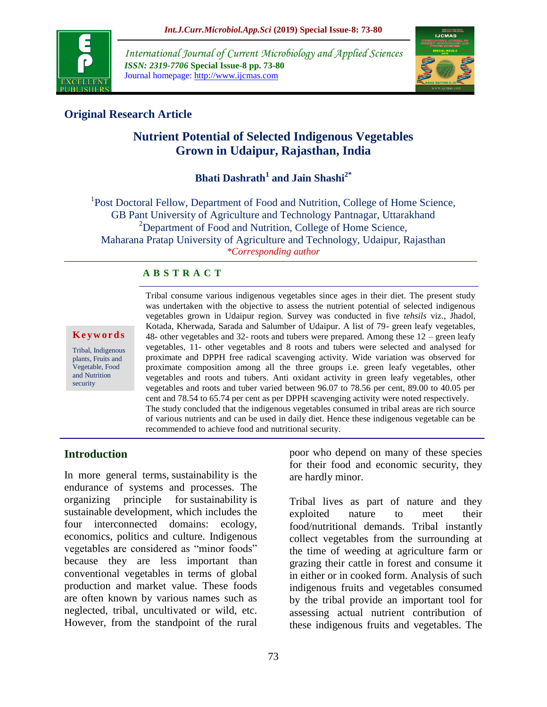

*International Journal of Current Microbiology and Applied Sciences ISSN: 2319-7706* **Special Issue-8 pp. 73-80** Journal homepage: http://www.ijcmas.com



## **Original Research Article**

# **Nutrient Potential of Selected Indigenous Vegetables Grown in Udaipur, Rajasthan, India**

# **Bhati Dashrath<sup>1</sup> and Jain Shashi2\***

<sup>1</sup>Post Doctoral Fellow, Department of Food and Nutrition, College of Home Science, GB Pant University of Agriculture and Technology Pantnagar, Uttarakhand <sup>2</sup>Department of Food and Nutrition, College of Home Science, Maharana Pratap University of Agriculture and Technology, Udaipur, Rajasthan *\*Corresponding author*

### **A B S T R A C T**

#### **K e y w o r d s**

Tribal, Indigenous plants, Fruits and Vegetable, Food and Nutrition security

Tribal consume various indigenous vegetables since ages in their diet. The present study was undertaken with the objective to assess the nutrient potential of selected indigenous vegetables grown in Udaipur region. Survey was conducted in five *tehsils* viz., Jhadol, Kotada, Kherwada, Sarada and Salumber of Udaipur. A list of 79- green leafy vegetables, 48- other vegetables and 32- roots and tubers were prepared. Among these 12 – green leafy vegetables, 11- other vegetables and 8 roots and tubers were selected and analysed for proximate and DPPH free radical scavenging activity. Wide variation was observed for proximate composition among all the three groups i.e. green leafy vegetables, other vegetables and roots and tubers. Anti oxidant activity in green leafy vegetables, other vegetables and roots and tuber varied between 96.07 to 78.56 per cent, 89.00 to 40.05 per cent and 78.54 to 65.74 per cent as per DPPH scavenging activity were noted respectively. The study concluded that the indigenous vegetables consumed in tribal areas are rich source of various nutrients and can be used in daily diet. Hence these indigenous vegetable can be recommended to achieve food and nutritional security.

### **Introduction**

In more general terms, sustainability is the endurance of systems and processes. The organizing principle for sustainability is sustainable development, which includes the four interconnected domains: ecology, economics, politics and culture. Indigenous vegetables are considered as "minor foods" because they are less important than conventional vegetables in terms of global production and market value. These foods are often known by various names such as neglected, tribal, uncultivated or wild, etc. However, from the standpoint of the rural

poor who depend on many of these species for their food and economic security, they are hardly minor.

Tribal lives as part of nature and they exploited nature to meet their food/nutritional demands. Tribal instantly collect vegetables from the surrounding at the time of weeding at agriculture farm or grazing their cattle in forest and consume it in either or in cooked form. Analysis of such indigenous fruits and vegetables consumed by the tribal provide an important tool for assessing actual nutrient contribution of these indigenous fruits and vegetables. The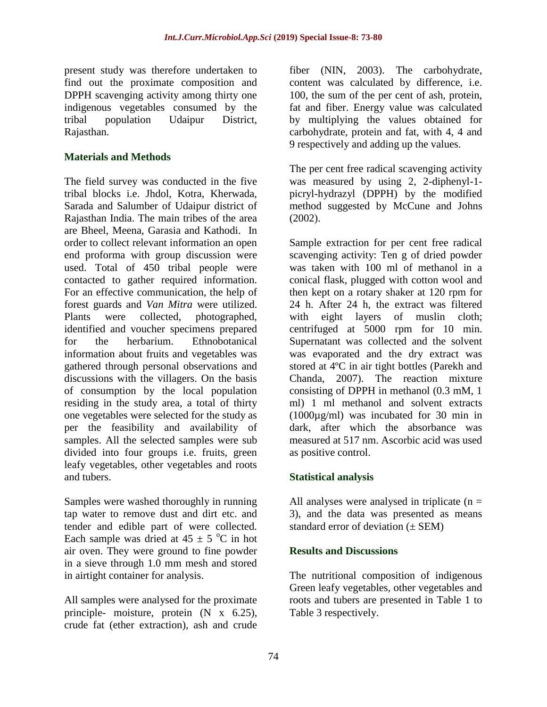present study was therefore undertaken to find out the proximate composition and DPPH scavenging activity among thirty one indigenous vegetables consumed by the tribal population Udaipur District, Rajasthan.

### **Materials and Methods**

The field survey was conducted in the five tribal blocks i.e. Jhdol, Kotra, Kherwada, Sarada and Salumber of Udaipur district of Rajasthan India. The main tribes of the area are Bheel, Meena, Garasia and Kathodi. In order to collect relevant information an open end proforma with group discussion were used. Total of 450 tribal people were contacted to gather required information. For an effective communication, the help of forest guards and *Van Mitra* were utilized. Plants were collected, photographed, identified and voucher specimens prepared for the herbarium. Ethnobotanical information about fruits and vegetables was gathered through personal observations and discussions with the villagers. On the basis of consumption by the local population residing in the study area, a total of thirty one vegetables were selected for the study as per the feasibility and availability of samples. All the selected samples were sub divided into four groups i.e. fruits, green leafy vegetables, other vegetables and roots and tubers.

Samples were washed thoroughly in running tap water to remove dust and dirt etc. and tender and edible part of were collected. Each sample was dried at  $45 \pm 5$  °C in hot air oven. They were ground to fine powder in a sieve through 1.0 mm mesh and stored in airtight container for analysis.

All samples were analysed for the proximate principle- moisture, protein (N x 6.25), crude fat (ether extraction), ash and crude

fiber (NIN, 2003). The carbohydrate, content was calculated by difference, i.e. 100, the sum of the per cent of ash, protein, fat and fiber. Energy value was calculated by multiplying the values obtained for carbohydrate, protein and fat, with 4, 4 and 9 respectively and adding up the values.

The per cent free radical scavenging activity was measured by using 2, 2-diphenyl-1 picryl-hydrazyl (DPPH) by the modified method suggested by McCune and Johns (2002).

Sample extraction for per cent free radical scavenging activity: Ten g of dried powder was taken with 100 ml of methanol in a conical flask, plugged with cotton wool and then kept on a rotary shaker at 120 rpm for 24 h. After 24 h, the extract was filtered with eight layers of muslin cloth; centrifuged at 5000 rpm for 10 min. Supernatant was collected and the solvent was evaporated and the dry extract was stored at 4ºC in air tight bottles (Parekh and Chanda, 2007). The reaction mixture consisting of DPPH in methanol (0.3 mM, 1 ml) 1 ml methanol and solvent extracts (1000µg/ml) was incubated for 30 min in dark, after which the absorbance was measured at 517 nm. Ascorbic acid was used as positive control.

### **Statistical analysis**

All analyses were analysed in triplicate  $(n =$ 3), and the data was presented as means standard error of deviation  $(\pm$  SEM)

### **Results and Discussions**

The nutritional composition of indigenous Green leafy vegetables, other vegetables and roots and tubers are presented in Table 1 to Table 3 respectively.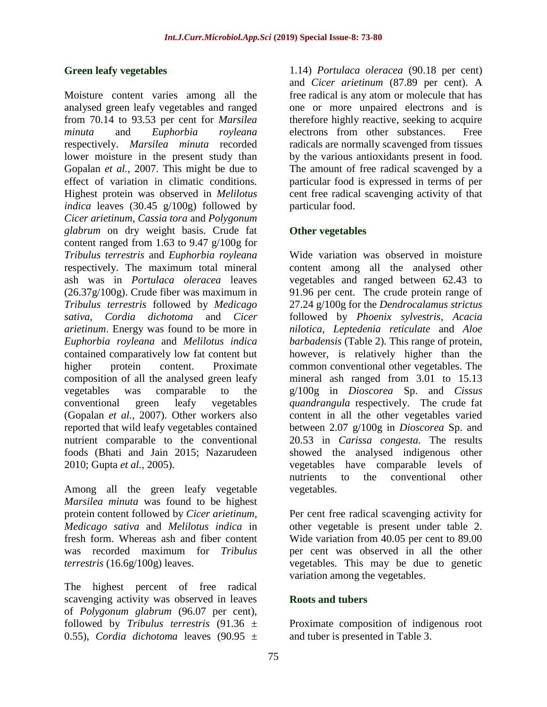### **Green leafy vegetables**

Moisture content varies among all the analysed green leafy vegetables and ranged from 70.14 to 93.53 per cent for *Marsilea minuta* and *Euphorbia royleana* respectively. *Marsilea minuta* recorded lower moisture in the present study than Gopalan *et al.,* 2007. This might be due to effect of variation in climatic conditions. Highest protein was observed in *Melilotus indica* leaves (30.45 g/100g) followed by *Cicer arietinum, Cassia tora* and *Polygonum glabrum* on dry weight basis. Crude fat content ranged from 1.63 to 9.47 g/100g for *Tribulus terrestris* and *Euphorbia royleana* respectively. The maximum total mineral ash was in *Portulaca oleracea* leaves (26.37g/100g). Crude fiber was maximum in *Tribulus terrestris* followed by *Medicago sativa, Cordia dichotoma* and *Cicer arietinum*. Energy was found to be more in *Euphorbia royleana* and *Melilotus indica*  contained comparatively low fat content but higher protein content. Proximate composition of all the analysed green leafy vegetables was comparable to the conventional green leafy vegetables (Gopalan *et al.,* 2007). Other workers also reported that wild leafy vegetables contained nutrient comparable to the conventional foods (Bhati and Jain 2015; Nazarudeen 2010; Gupta *et al.,* 2005).

Among all the green leafy vegetable *Marsilea minuta* was found to be highest protein content followed by *Cicer arietinum*, *Medicago sativa* and *Melilotus indica* in fresh form. Whereas ash and fiber content was recorded maximum for *Tribulus terrestris* (16.6g/100g) leaves.

The highest percent of free radical scavenging activity was observed in leaves of *Polygonum glabrum* (96.07 per cent), followed by *Tribulus terrestris* (91.36 ± 0.55), *Cordia dichotoma* leaves (90.95 ±

1.14) *Portulaca oleracea* (90.18 per cent) and *Cicer arietinum* (87.89 per cent). A free radical is any atom or molecule that has one or more unpaired electrons and is therefore highly reactive, seeking to acquire electrons from other substances. Free radicals are normally scavenged from tissues by the various antioxidants present in food. The amount of free radical scavenged by a particular food is expressed in terms of per cent free radical scavenging activity of that particular food.

### **Other vegetables**

Wide variation was observed in moisture content among all the analysed other vegetables and ranged between 62.43 to 91.96 per cent. The crude protein range of 27.24 g/100g for the *Dendrocalamus strictus*  followed by *Phoenix sylvestris, Acacia nilotica*, *Leptedenia reticulate* and *Aloe barbadensis* (Table 2). This range of protein, however, is relatively higher than the common conventional other vegetables. The mineral ash ranged from 3.01 to 15.13 g/100g in *Dioscorea* Sp. and *Cissus quandrangula* respectively. The crude fat content in all the other vegetables varied between 2.07 g/100g in *Dioscorea* Sp. and 20.53 in *Carissa congesta.* The results showed the analysed indigenous other vegetables have comparable levels of nutrients to the conventional other vegetables.

Per cent free radical scavenging activity for other vegetable is present under table 2. Wide variation from 40.05 per cent to 89.00 per cent was observed in all the other vegetables. This may be due to genetic variation among the vegetables.

### **Roots and tubers**

Proximate composition of indigenous root and tuber is presented in Table 3.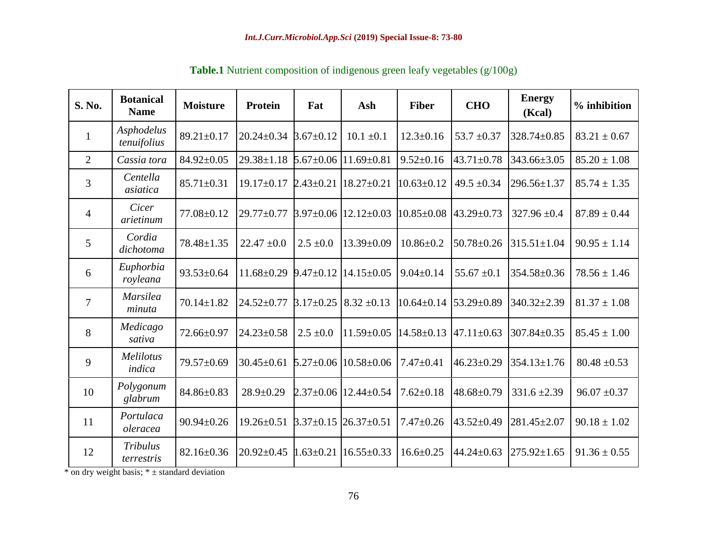| S. No.          | <b>Botanical</b><br><b>Name</b> | <b>Moisture</b>  | Protein          | Fat             | Ash                                | <b>Fiber</b>     | <b>CHO</b>       | <b>Energy</b><br>(Kcal) | % inhibition     |
|-----------------|---------------------------------|------------------|------------------|-----------------|------------------------------------|------------------|------------------|-------------------------|------------------|
| $\mathbf{1}$    | Asphodelus<br>tenuifolius       | $89.21 \pm 0.17$ | $20.24 \pm 0.34$ | $3.67 \pm 0.12$ | $10.1 \pm 0.1$                     | $12.3 \pm 0.16$  | $53.7 \pm 0.37$  | 328.74±0.85             | $83.21 \pm 0.67$ |
| 2               | Cassia tora                     | 84.92±0.05       | $29.38 \pm 1.18$ |                 | $5.67 \pm 0.06$   11.69 $\pm$ 0.81 | $9.52 \pm 0.16$  | $43.71 \pm 0.78$ | 343.66±3.05             | $85.20 \pm 1.08$ |
| 3               | Centella<br>asiatica            | $85.71 \pm 0.31$ | $19.17 \pm 0.17$ | $2.43 \pm 0.21$ | $18.27 \pm 0.21$                   | $10.63 \pm 0.12$ | 49.5 $\pm$ 0.34  | $296.56 \pm 1.37$       | $85.74 \pm 1.35$ |
| $\overline{4}$  | Cicer<br>arietinum              | 77.08±0.12       | $29.77 \pm 0.77$ |                 | $3.97 \pm 0.06$   12.12 $\pm$ 0.03 | $10.85 \pm 0.08$ | $43.29 \pm 0.73$ | $327.96 \pm 0.4$        | $87.89 \pm 0.44$ |
| $5\overline{)}$ | Cordia<br>dichotoma             | 78.48±1.35       | $22.47 \pm 0.0$  | $2.5 \pm 0.0$   | $13.39 \pm 0.09$                   | $10.86 \pm 0.2$  | $50.78 \pm 0.26$ | $315.51 \pm 1.04$       | $90.95 \pm 1.14$ |
| 6               | Euphorbia<br>royleana           | $93.53 \pm 0.64$ | $11.68 \pm 0.29$ | $9.47 \pm 0.12$ | $14.15 \pm 0.05$                   | $9.04 \pm 0.14$  | $55.67 \pm 0.1$  | 354.58±0.36             | $78.56 \pm 1.46$ |
| $\overline{7}$  | <b>Marsilea</b><br>minuta       | $70.14 \pm 1.82$ | $24.52 \pm 0.77$ | $3.17 \pm 0.25$ | $8.32 \pm 0.13$                    | $10.64 \pm 0.14$ | 53.29±0.89       | 340.32±2.39             | $81.37 \pm 1.08$ |
| 8               | Medicago<br>sativa              | 72.66±0.97       | $24.23 \pm 0.58$ | $2.5 \pm 0.0$   | $11.59 \pm 0.05$                   | $14.58 \pm 0.13$ | $47.11 \pm 0.63$ | 307.84±0.35             | $85.45 \pm 1.00$ |
| 9               | Melilotus<br>indica             | 79.57±0.69       | $30.45 \pm 0.61$ |                 | $5.27 \pm 0.06$   10.58 $\pm 0.06$ | $7.47 \pm 0.41$  | $46.23 \pm 0.29$ | 354.13±1.76             | $80.48 \pm 0.53$ |
| 10              | Polygonum<br>glabrum            | 84.86±0.83       | $28.9 \pm 0.29$  |                 | $2.37 \pm 0.06$   12.44 $\pm$ 0.54 | $7.62 \pm 0.18$  | 48.68±0.79       | $331.6 \pm 2.39$        | $96.07 \pm 0.37$ |
| 11              | Portulaca<br>oleracea           | $90.94 \pm 0.26$ | $19.26 \pm 0.51$ | $3.37 \pm 0.15$ | $26.37 \pm 0.51$                   | $7.47 \pm 0.26$  | 43.52±0.49       | $281.45 \pm 2.07$       | $90.18 \pm 1.02$ |
| 12              | <b>Tribulus</b><br>terrestris   | $82.16 \pm 0.36$ | $20.92 \pm 0.45$ | $1.63 \pm 0.21$ | $16.55 \pm 0.33$                   | $16.6 \pm 0.25$  | $44.24 \pm 0.63$ | $275.92 \pm 1.65$       | $91.36 \pm 0.55$ |

**Table.1** Nutrient composition of indigenous green leafy vegetables (g/100g)

 $*$  on dry weight basis;  $* \pm$  standard deviation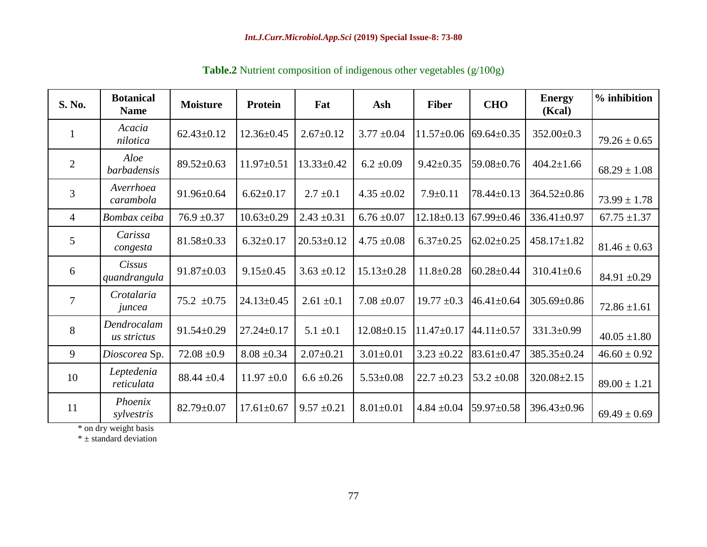| S. No.          | <b>Botanical</b><br><b>Name</b> | <b>Moisture</b>  | Protein          | Fat              | Ash              | <b>Fiber</b>     | <b>CHO</b>       | <b>Energy</b><br>(Kcal) | % inhibition     |
|-----------------|---------------------------------|------------------|------------------|------------------|------------------|------------------|------------------|-------------------------|------------------|
| 1               | Acacia<br>nilotica              | $62.43 \pm 0.12$ | $12.36 \pm 0.45$ | $2.67 \pm 0.12$  | $3.77 \pm 0.04$  | $11.57 \pm 0.06$ | $69.64 \pm 0.35$ | $352.00 \pm 0.3$        | $79.26 \pm 0.65$ |
| $\overline{2}$  | Aloe<br><i>barbadensis</i>      | $89.52 \pm 0.63$ | $11.97 \pm 0.51$ | $13.33 \pm 0.42$ | $6.2 \pm 0.09$   | $9.42 \pm 0.35$  | 59.08±0.76       | $404.2 \pm 1.66$        | $68.29 \pm 1.08$ |
| 3               | Averrhoea<br>carambola          | $91.96 \pm 0.64$ | $6.62 \pm 0.17$  | $2.7 \pm 0.1$    | $4.35 \pm 0.02$  | $7.9 \pm 0.11$   | $78.44 \pm 0.13$ | $364.52 \pm 0.86$       | $73.99 \pm 1.78$ |
| $\overline{4}$  | Bombax ceiba                    | $76.9 \pm 0.37$  | $10.63 \pm 0.29$ | $2.43 \pm 0.31$  | $6.76 \pm 0.07$  | $12.18 \pm 0.13$ | $67.99 \pm 0.46$ | 336.41±0.97             | $67.75 \pm 1.37$ |
| 5               | Carissa<br>congesta             | $81.58 \pm 0.33$ | $6.32 \pm 0.17$  | $20.53 \pm 0.12$ | $4.75 \pm 0.08$  | $6.37 \pm 0.25$  | $62.02 \pm 0.25$ | $458.17 \pm 1.82$       | $81.46 \pm 0.63$ |
| 6               | Cissus<br>quandrangula          | $91.87 \pm 0.03$ | $9.15 \pm 0.45$  | $3.63 \pm 0.12$  | $15.13 \pm 0.28$ | $11.8 \pm 0.28$  | $60.28 \pm 0.44$ | $310.41 \pm 0.6$        | 84.91 $\pm 0.29$ |
| $7\phantom{.0}$ | Crotalaria<br>juncea            | $75.2 \pm 0.75$  | $24.13 \pm 0.45$ | $2.61 \pm 0.1$   | $7.08 \pm 0.07$  | $19.77 \pm 0.3$  | $46.41 \pm 0.64$ | $305.69 \pm 0.86$       | $72.86 \pm 1.61$ |
| 8               | Dendrocalam<br>us strictus      | $91.54 \pm 0.29$ | $27.24 \pm 0.17$ | $5.1 \pm 0.1$    | $12.08 \pm 0.15$ | $11.47 \pm 0.17$ | $44.11 \pm 0.57$ | $331.3 \pm 0.99$        | $40.05 \pm 1.80$ |
| 9               | Dioscorea Sp.                   | $72.08 \pm 0.9$  | $8.08 \pm 0.34$  | $2.07 \pm 0.21$  | $3.01 \pm 0.01$  | $3.23 \pm 0.22$  | $83.61 \pm 0.47$ | 385.35±0.24             | $46.60 \pm 0.92$ |
| 10              | Leptedenia<br>reticulata        | $88.44 \pm 0.4$  | $11.97 \pm 0.0$  | $6.6 \pm 0.26$   | $5.53 \pm 0.08$  | $22.7 \pm 0.23$  | $53.2 \pm 0.08$  | $320.08 \pm 2.15$       | $89.00 \pm 1.21$ |
| 11              | Phoenix<br>sylvestris           | $82.79 \pm 0.07$ | $17.61 \pm 0.67$ | $9.57 \pm 0.21$  | $8.01 \pm 0.01$  | $4.84 \pm 0.04$  | 59.97±0.58       | 396.43±0.96             | $69.49 \pm 0.69$ |

**Table.2** Nutrient composition of indigenous other vegetables (g/100g)

\* on dry weight basis

 $*$  ± standard deviation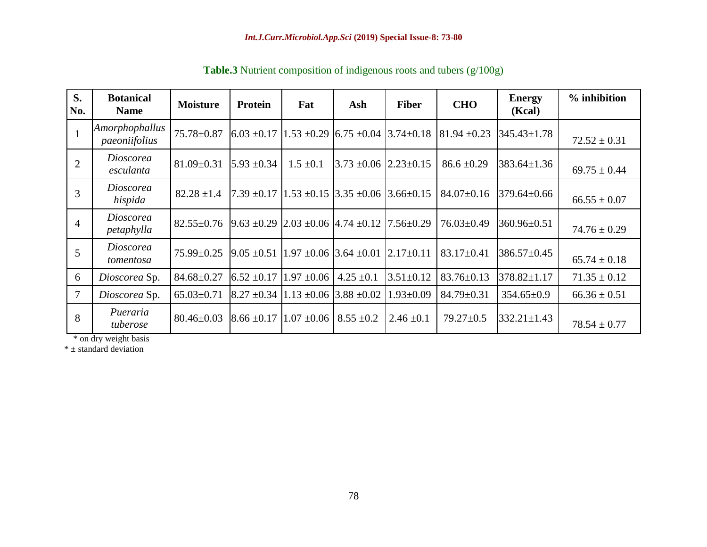| S.<br>No.      | <b>Botanical</b><br><b>Name</b> | <b>Moisture</b>  | <b>Protein</b>                                                          | Fat             | Ash                                            | <b>Fiber</b>    | <b>CHO</b>       | <b>Energy</b><br>(Kcal) | % inhibition     |
|----------------|---------------------------------|------------------|-------------------------------------------------------------------------|-----------------|------------------------------------------------|-----------------|------------------|-------------------------|------------------|
|                | Amorphophallus<br>paeoniifolius | 75.78±0.87       | $6.03 \pm 0.17$ 1.53 $\pm 0.29$ 6.75 $\pm 0.04$ 3.74 $\pm 0.18$         |                 |                                                |                 | $81.94 \pm 0.23$ | $345.43 \pm 1.78$       | $72.52 \pm 0.31$ |
| $\overline{2}$ | Dioscorea<br>esculanta          | $81.09 \pm 0.31$ | $5.93 \pm 0.34$                                                         | $1.5 \pm 0.1$   | $3.73 \pm 0.06$ $\left  2.23 \pm 0.15 \right $ |                 | $86.6 \pm 0.29$  | $383.64 \pm 1.36$       | $69.75 \pm 0.44$ |
| 3              | Dioscorea<br>hispida            | $82.28 \pm 1.4$  | $[7.39 \pm 0.17]$ $[1.53 \pm 0.15]$ $[3.35 \pm 0.06]$ $[3.66 \pm 0.15]$ |                 |                                                |                 | $84.07 \pm 0.16$ | $379.64 \pm 0.66$       | $66.55 \pm 0.07$ |
| $\overline{4}$ | <b>Dioscorea</b><br>petaphylla  | $82.55 \pm 0.76$ | $9.63 \pm 0.29$ 2.03 $\pm 0.06$ 4.74 $\pm 0.12$                         |                 |                                                | $7.56 \pm 0.29$ | $76.03 \pm 0.49$ | $360.96 \pm 0.51$       | $74.76 \pm 0.29$ |
| 5              | <i>Dioscorea</i><br>tomentosa   | $75.99 \pm 0.25$ | $9.05 \pm 0.51$ 1.97 $\pm 0.06$ 3.64 $\pm 0.01$                         |                 |                                                | $2.17 \pm 0.11$ | $83.17 \pm 0.41$ | $386.57 \pm 0.45$       | $65.74 \pm 0.18$ |
| 6              | Dioscorea Sp.                   | $84.68 \pm 0.27$ | $6.52 \pm 0.17$                                                         | $1.97 \pm 0.06$ | $4.25 \pm 0.1$                                 | $3.51 \pm 0.12$ | $83.76 \pm 0.13$ | $378.82 \pm 1.17$       | $71.35 \pm 0.12$ |
| $\overline{7}$ | Dioscorea Sp.                   | $65.03 \pm 0.71$ | $8.27 \pm 0.34$  1.13 $\pm 0.06$                                        |                 | $3.88 \pm 0.02$                                | $1.93 \pm 0.09$ | $84.79 \pm 0.31$ | $354.65 \pm 0.9$        | $66.36 \pm 0.51$ |
| 8              | Pueraria<br>tuberose            | $80.46 \pm 0.03$ | $8.66 \pm 0.17$ 1.07 $\pm 0.06$ 8.55 $\pm 0.2$                          |                 |                                                | $2.46 \pm 0.1$  | $79.27 \pm 0.5$  | $332.21 \pm 1.43$       | $78.54 \pm 0.77$ |

**Table.3** Nutrient composition of indigenous roots and tubers (g/100g)

\* on dry weight basis

\* ± standard deviation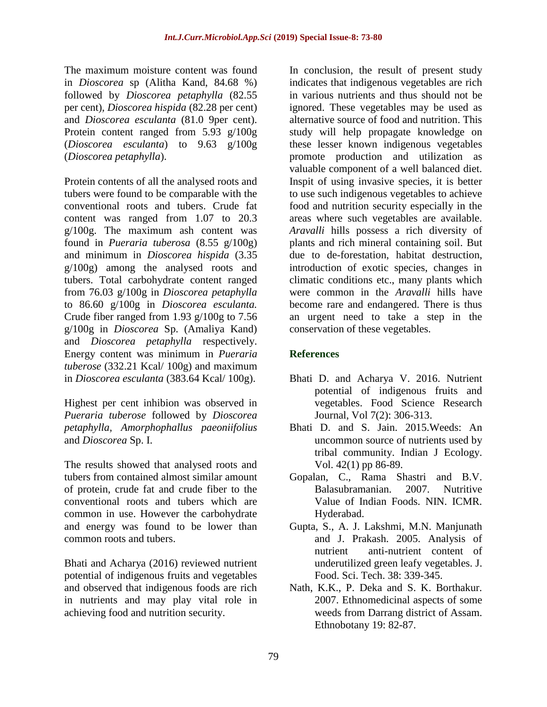The maximum moisture content was found in *Dioscorea* sp (Alitha Kand, 84.68 %) followed by *Dioscorea petaphylla* (82.55 per cent), *Dioscorea hispida* (82.28 per cent) and *Dioscorea esculanta* (81.0 9per cent). Protein content ranged from 5.93 g/100g (*Dioscorea esculanta*) to 9.63 g/100g (*Dioscorea petaphylla*).

Protein contents of all the analysed roots and tubers were found to be comparable with the conventional roots and tubers. Crude fat content was ranged from 1.07 to 20.3 g/100g. The maximum ash content was found in *Pueraria tuberosa* (8.55 g/100g) and minimum in *Dioscorea hispida* (3.35 g/100g) among the analysed roots and tubers. Total carbohydrate content ranged from 76.03 g/100g in *Dioscorea petaphylla* to 86.60 g/100g in *Dioscorea esculanta.*  Crude fiber ranged from 1.93 g/100g to 7.56 g/100g in *Dioscorea* Sp. (Amaliya Kand) and *Dioscorea petaphylla* respectively. Energy content was minimum in *Pueraria tuberose* (332.21 Kcal/ 100g) and maximum in *Dioscorea esculanta* (383.64 Kcal/ 100g).

Highest per cent inhibion was observed in *Pueraria tuberose* followed by *Dioscorea petaphylla, Amorphophallus paeoniifolius*  and *Dioscorea* Sp. I.

The results showed that analysed roots and tubers from contained almost similar amount of protein, crude fat and crude fiber to the conventional roots and tubers which are common in use. However the carbohydrate and energy was found to be lower than common roots and tubers.

Bhati and Acharya (2016) reviewed nutrient potential of indigenous fruits and vegetables and observed that indigenous foods are rich in nutrients and may play vital role in achieving food and nutrition security.

In conclusion, the result of present study indicates that indigenous vegetables are rich in various nutrients and thus should not be ignored. These vegetables may be used as alternative source of food and nutrition. This study will help propagate knowledge on these lesser known indigenous vegetables promote production and utilization as valuable component of a well balanced diet. Inspit of using invasive species, it is better to use such indigenous vegetables to achieve food and nutrition security especially in the areas where such vegetables are available. *Aravalli* hills possess a rich diversity of plants and rich mineral containing soil. But due to de-forestation, habitat destruction, introduction of exotic species, changes in climatic conditions etc., many plants which were common in the *Aravalli* hills have become rare and endangered. There is thus an urgent need to take a step in the conservation of these vegetables.

### **References**

- Bhati D. and Acharya V. 2016. Nutrient potential of indigenous fruits and vegetables. Food Science Research Journal, Vol 7(2): 306-313.
- Bhati D. and S. Jain. 2015.Weeds: An uncommon source of nutrients used by tribal community. Indian J Ecology. Vol. 42(1) pp 86-89.
- Gopalan, C., Rama Shastri and B.V. Balasubramanian. 2007. Nutritive Value of Indian Foods. NIN. ICMR. Hyderabad.
- Gupta, S., A. J. Lakshmi, M.N. Manjunath and J. Prakash. 2005. Analysis of nutrient anti-nutrient content of underutilized green leafy vegetables. J. Food. Sci. Tech. 38: 339-345.
- Nath, K.K., P. Deka and S. K. Borthakur. 2007. Ethnomedicinal aspects of some weeds from Darrang district of Assam. Ethnobotany 19: 82-87.